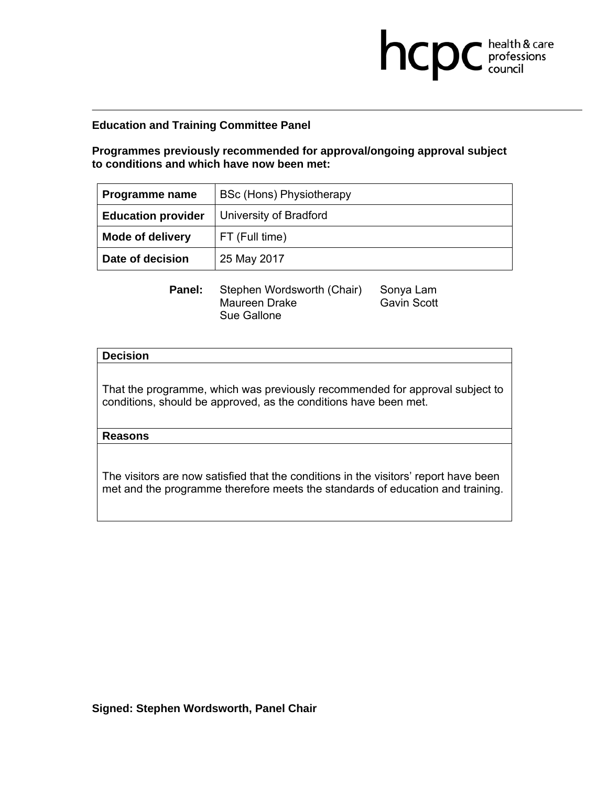**Programmes previously recommended for approval/ongoing approval subject to conditions and which have now been met:** 

**health & care** 

| Programme name            | <b>BSc (Hons) Physiotherapy</b> |
|---------------------------|---------------------------------|
| <b>Education provider</b> | University of Bradford          |
| <b>Mode of delivery</b>   | FT (Full time)                  |
| Date of decision          | 25 May 2017                     |

**Panel:** Stephen Wordsworth (Chair) Sonya Lam<br>Maureen Drake Gavin Scott Maureen Drake Sue Gallone

### **Decision**

That the programme, which was previously recommended for approval subject to conditions, should be approved, as the conditions have been met.

## **Reasons**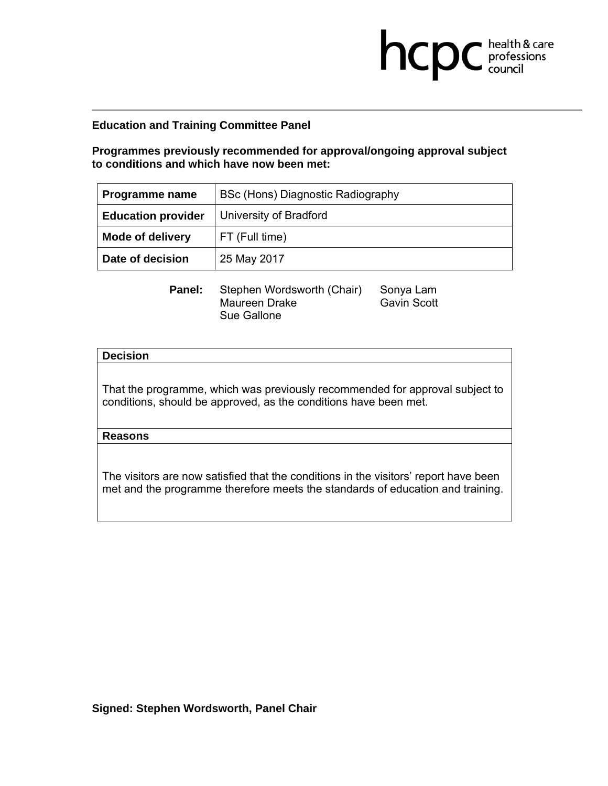**Programmes previously recommended for approval/ongoing approval subject to conditions and which have now been met:** 

**health & care** 

| <b>Programme name</b>     | BSc (Hons) Diagnostic Radiography |
|---------------------------|-----------------------------------|
| <b>Education provider</b> | University of Bradford            |
| <b>Mode of delivery</b>   | FT (Full time)                    |
| Date of decision          | 25 May 2017                       |

**Panel:** Stephen Wordsworth (Chair) Sonya Lam<br>Maureen Drake Gavin Scott Maureen Drake Sue Gallone

### **Decision**

That the programme, which was previously recommended for approval subject to conditions, should be approved, as the conditions have been met.

## **Reasons**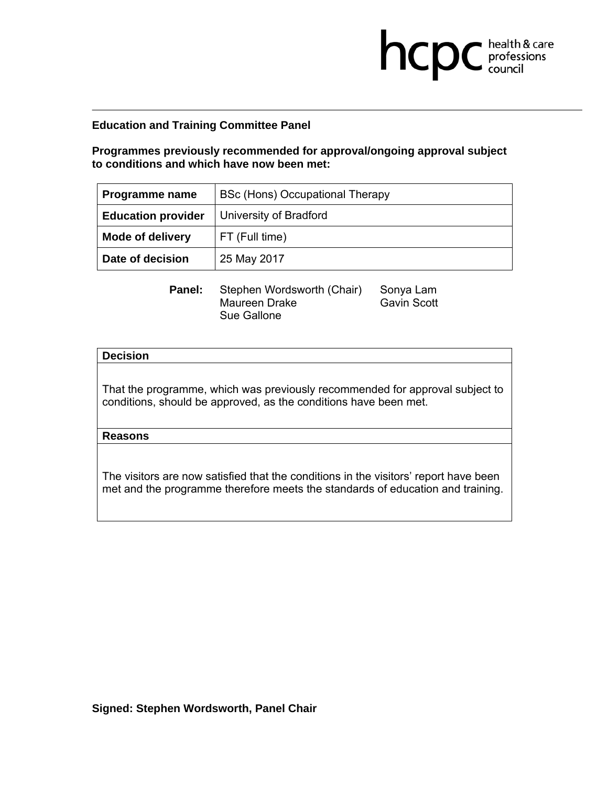**Programmes previously recommended for approval/ongoing approval subject to conditions and which have now been met:** 

**health & care** 

| <b>Programme name</b>     | BSc (Hons) Occupational Therapy |
|---------------------------|---------------------------------|
| <b>Education provider</b> | University of Bradford          |
| <b>Mode of delivery</b>   | FT (Full time)                  |
| Date of decision          | 25 May 2017                     |

**Panel:** Stephen Wordsworth (Chair) Sonya Lam<br>Maureen Drake Gavin Scott Maureen Drake Sue Gallone

### **Decision**

That the programme, which was previously recommended for approval subject to conditions, should be approved, as the conditions have been met.

## **Reasons**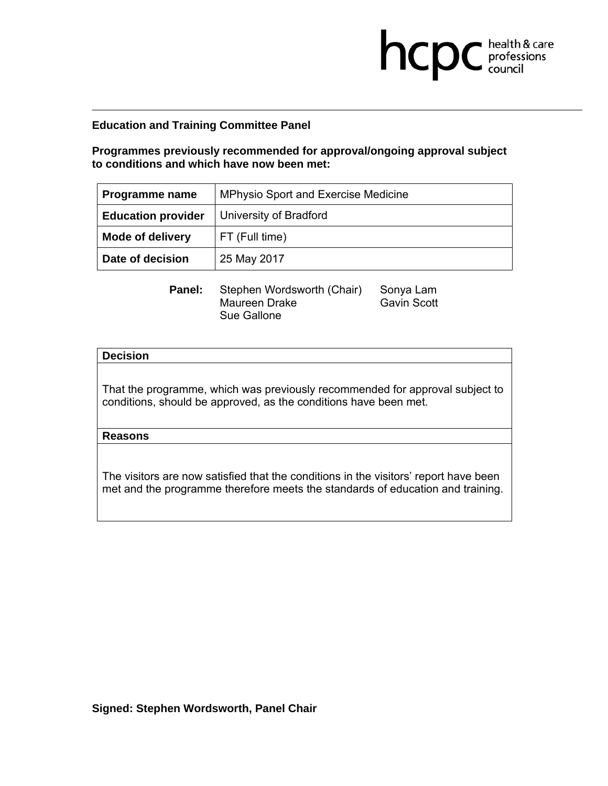**Programmes previously recommended for approval/ongoing approval subject to conditions and which have now been met:** 

**health & care** 

| <b>Programme name</b>     | <b>MPhysio Sport and Exercise Medicine</b> |
|---------------------------|--------------------------------------------|
| <b>Education provider</b> | University of Bradford                     |
| <b>Mode of delivery</b>   | FT (Full time)                             |
| Date of decision          | 25 May 2017                                |

**Panel:** Stephen Wordsworth (Chair) Sonya Lam<br>Maureen Drake Gavin Scott Maureen Drake Sue Gallone

### **Decision**

That the programme, which was previously recommended for approval subject to conditions, should be approved, as the conditions have been met.

## **Reasons**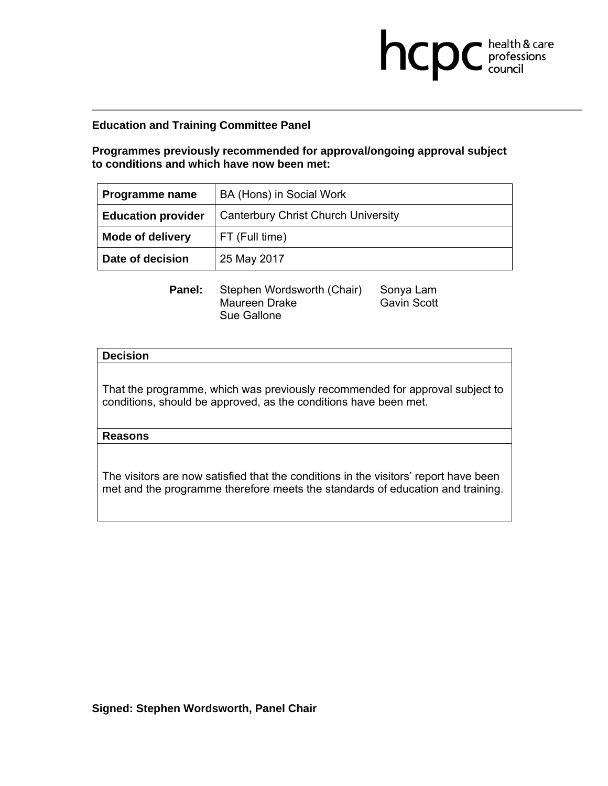**Programmes previously recommended for approval/ongoing approval subject to conditions and which have now been met:** 

**health & care** 

| Programme name            | BA (Hons) in Social Work                   |
|---------------------------|--------------------------------------------|
| <b>Education provider</b> | <b>Canterbury Christ Church University</b> |
| <b>Mode of delivery</b>   | FT (Full time)                             |
| Date of decision          | 25 May 2017                                |

**Panel:** Stephen Wordsworth (Chair) Sonya Lam<br>Maureen Drake Gavin Scott Maureen Drake Sue Gallone

### **Decision**

That the programme, which was previously recommended for approval subject to conditions, should be approved, as the conditions have been met.

### **Reasons**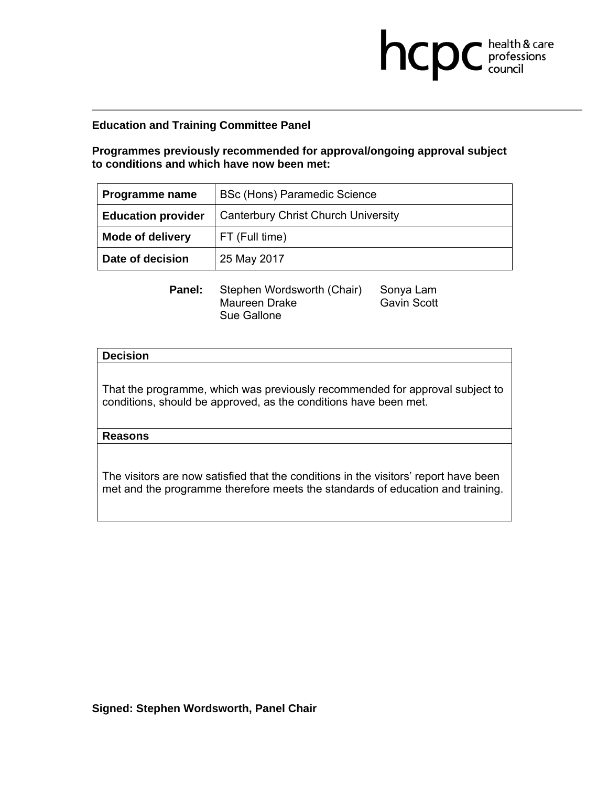**Programmes previously recommended for approval/ongoing approval subject to conditions and which have now been met:** 

**health & care** 

| Programme name            | BSc (Hons) Paramedic Science               |
|---------------------------|--------------------------------------------|
| <b>Education provider</b> | <b>Canterbury Christ Church University</b> |
| <b>Mode of delivery</b>   | FT (Full time)                             |
| Date of decision          | 25 May 2017                                |

**Panel:** Stephen Wordsworth (Chair) Sonya Lam<br>Maureen Drake Gavin Scott Maureen Drake Sue Gallone

### **Decision**

That the programme, which was previously recommended for approval subject to conditions, should be approved, as the conditions have been met.

#### **Reasons**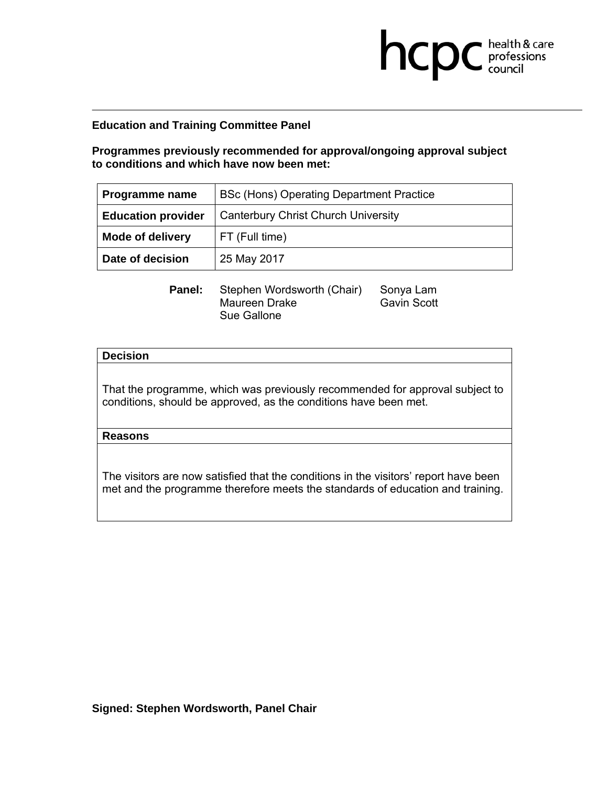**Programmes previously recommended for approval/ongoing approval subject to conditions and which have now been met:** 

**health & care** 

| Programme name            | BSc (Hons) Operating Department Practice   |
|---------------------------|--------------------------------------------|
| <b>Education provider</b> | <b>Canterbury Christ Church University</b> |
| <b>Mode of delivery</b>   | FT (Full time)                             |
| Date of decision          | 25 May 2017                                |

**Panel:** Stephen Wordsworth (Chair) Sonya Lam<br>Maureen Drake Gavin Scott Maureen Drake Sue Gallone

### **Decision**

That the programme, which was previously recommended for approval subject to conditions, should be approved, as the conditions have been met.

## **Reasons**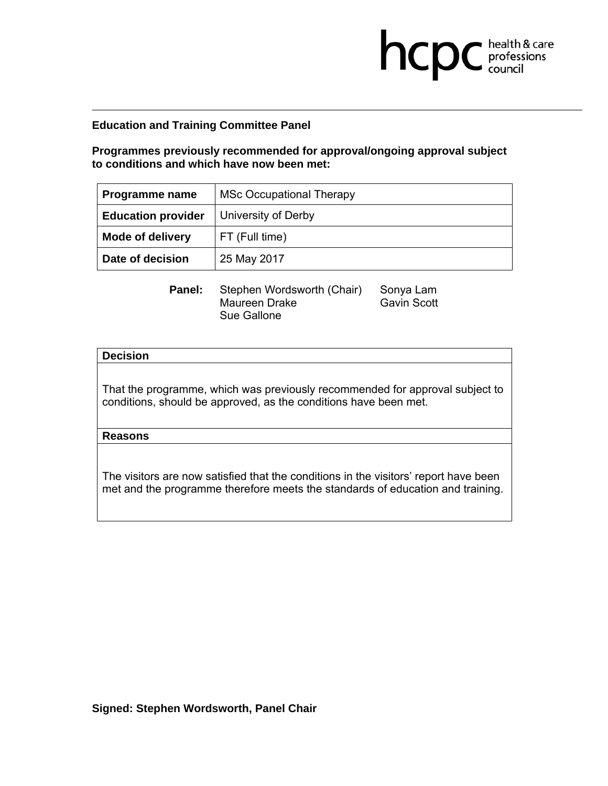**Programmes previously recommended for approval/ongoing approval subject to conditions and which have now been met:** 

**health & care** 

| <b>Programme name</b>     | <b>MSc Occupational Therapy</b> |
|---------------------------|---------------------------------|
| <b>Education provider</b> | University of Derby             |
| <b>Mode of delivery</b>   | FT (Full time)                  |
| Date of decision          | 25 May 2017                     |

**Panel:** Stephen Wordsworth (Chair) Sonya Lam<br>Maureen Drake Gavin Scott Maureen Drake Sue Gallone

### **Decision**

That the programme, which was previously recommended for approval subject to conditions, should be approved, as the conditions have been met.

### **Reasons**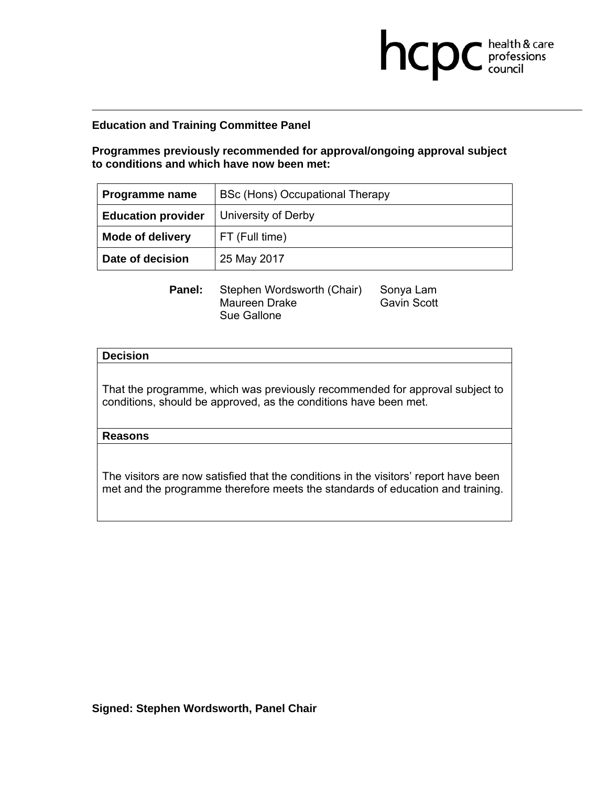**Programmes previously recommended for approval/ongoing approval subject to conditions and which have now been met:** 

**health & care** 

| <b>Programme name</b>     | BSc (Hons) Occupational Therapy |
|---------------------------|---------------------------------|
| <b>Education provider</b> | University of Derby             |
| <b>Mode of delivery</b>   | FT (Full time)                  |
| Date of decision          | 25 May 2017                     |

**Panel:** Stephen Wordsworth (Chair) Sonya Lam<br>Maureen Drake Gavin Scott Maureen Drake Sue Gallone

### **Decision**

That the programme, which was previously recommended for approval subject to conditions, should be approved, as the conditions have been met.

### **Reasons**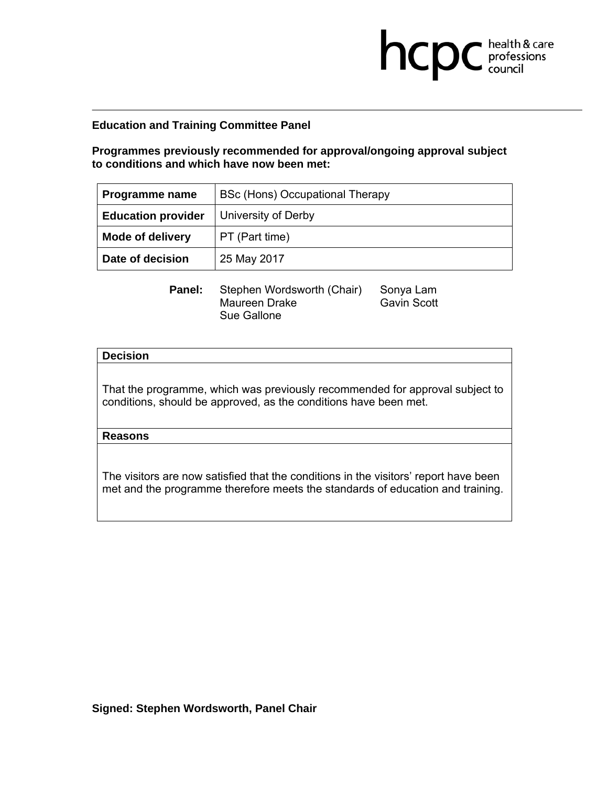**Programmes previously recommended for approval/ongoing approval subject to conditions and which have now been met:** 

**health & care** 

| Programme name            | BSc (Hons) Occupational Therapy |
|---------------------------|---------------------------------|
| <b>Education provider</b> | University of Derby             |
| <b>Mode of delivery</b>   | PT (Part time)                  |
| Date of decision          | 25 May 2017                     |

**Panel:** Stephen Wordsworth (Chair) Sonya Lam<br>Maureen Drake Gavin Scott Maureen Drake Sue Gallone

### **Decision**

That the programme, which was previously recommended for approval subject to conditions, should be approved, as the conditions have been met.

## **Reasons**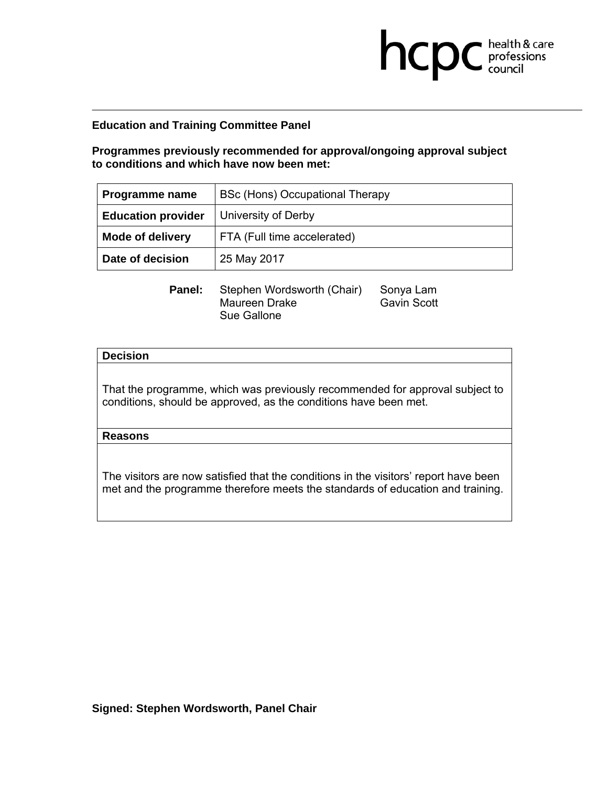**Programmes previously recommended for approval/ongoing approval subject to conditions and which have now been met:** 

**health & care** 

| Programme name            | BSc (Hons) Occupational Therapy |
|---------------------------|---------------------------------|
| <b>Education provider</b> | University of Derby             |
| <b>Mode of delivery</b>   | FTA (Full time accelerated)     |
| Date of decision          | 25 May 2017                     |

**Panel:** Stephen Wordsworth (Chair) Sonya Lam<br>Maureen Drake Gavin Scott Maureen Drake Sue Gallone

### **Decision**

That the programme, which was previously recommended for approval subject to conditions, should be approved, as the conditions have been met.

## **Reasons**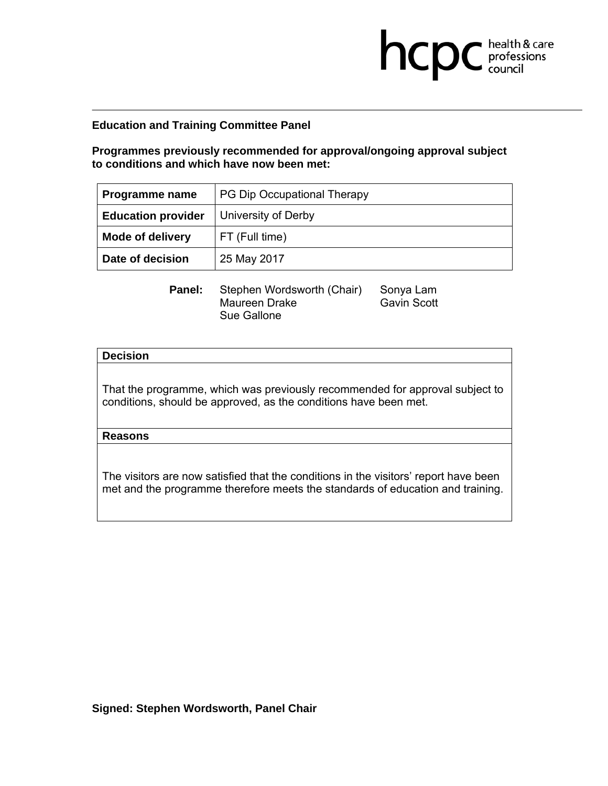**Programmes previously recommended for approval/ongoing approval subject to conditions and which have now been met:** 

**health & care** 

| <b>Programme name</b>     | PG Dip Occupational Therapy |
|---------------------------|-----------------------------|
| <b>Education provider</b> | University of Derby         |
| <b>Mode of delivery</b>   | FT (Full time)              |
| Date of decision          | 25 May 2017                 |

**Panel:** Stephen Wordsworth (Chair) Sonya Lam<br>Maureen Drake Gavin Scott Maureen Drake Sue Gallone

### **Decision**

That the programme, which was previously recommended for approval subject to conditions, should be approved, as the conditions have been met.

## **Reasons**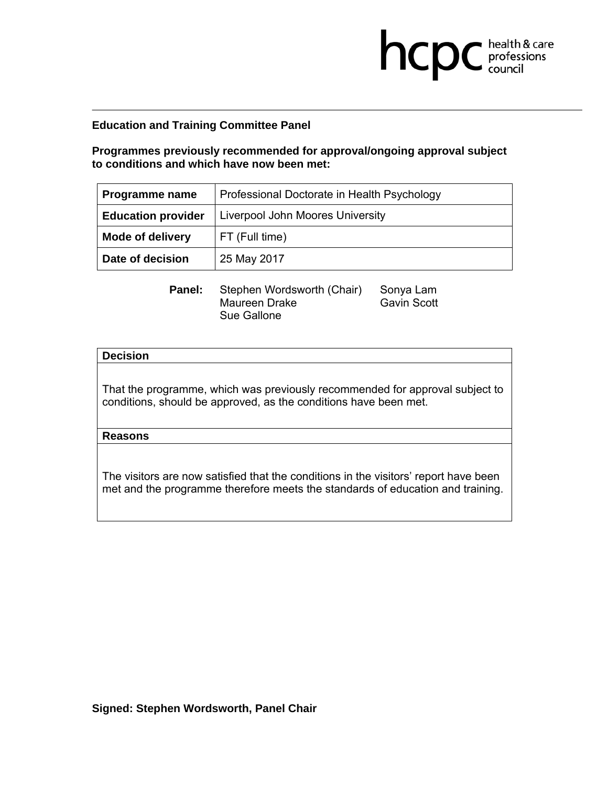**Programmes previously recommended for approval/ongoing approval subject to conditions and which have now been met:** 

**health & care** 

| Programme name            | Professional Doctorate in Health Psychology |
|---------------------------|---------------------------------------------|
| <b>Education provider</b> | Liverpool John Moores University            |
| <b>Mode of delivery</b>   | FT (Full time)                              |
| Date of decision          | 25 May 2017                                 |

**Panel:** Stephen Wordsworth (Chair) Sonya Lam<br>Maureen Drake Gavin Scott Maureen Drake Sue Gallone

### **Decision**

That the programme, which was previously recommended for approval subject to conditions, should be approved, as the conditions have been met.

## **Reasons**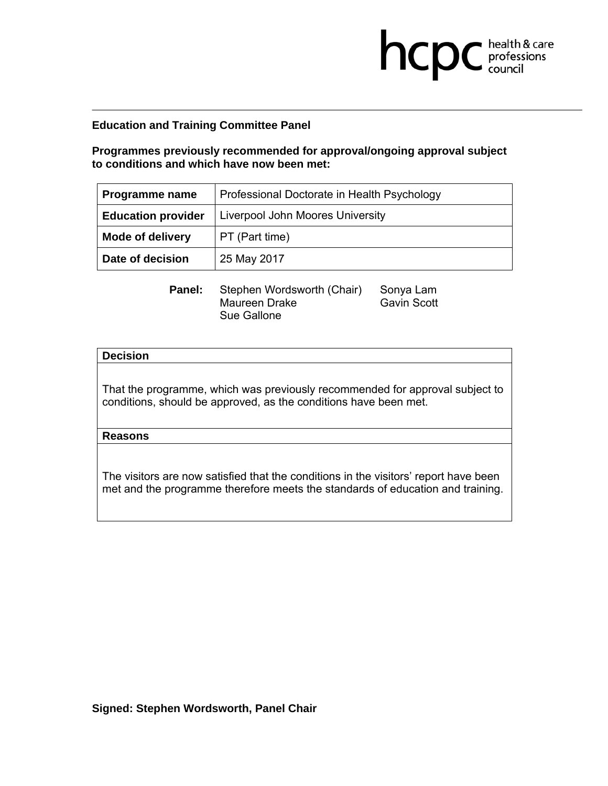**Programmes previously recommended for approval/ongoing approval subject to conditions and which have now been met:** 

**health & care** 

| Programme name            | Professional Doctorate in Health Psychology |
|---------------------------|---------------------------------------------|
| <b>Education provider</b> | Liverpool John Moores University            |
| <b>Mode of delivery</b>   | PT (Part time)                              |
| Date of decision          | 25 May 2017                                 |

**Panel:** Stephen Wordsworth (Chair) Sonya Lam<br>Maureen Drake Gavin Scott Maureen Drake Sue Gallone

### **Decision**

That the programme, which was previously recommended for approval subject to conditions, should be approved, as the conditions have been met.

### **Reasons**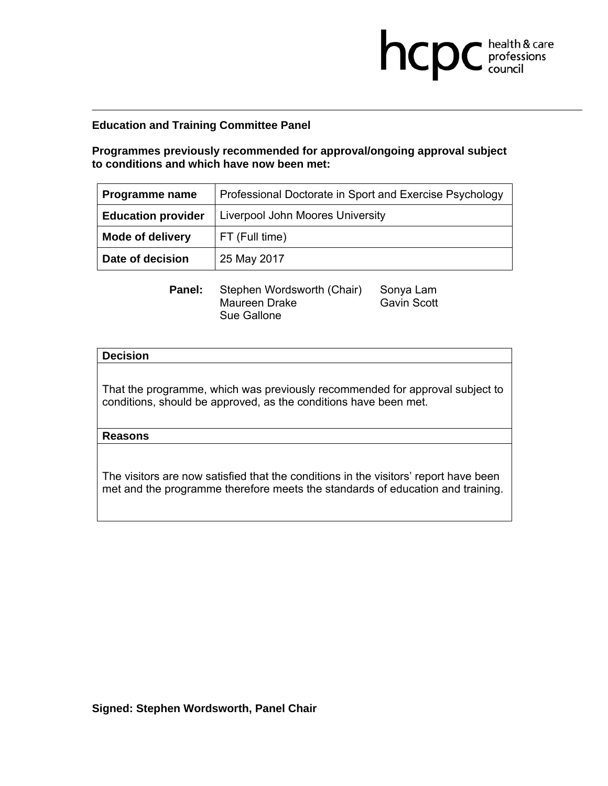**Programmes previously recommended for approval/ongoing approval subject to conditions and which have now been met:** 

**health & care** 

| Programme name            | Professional Doctorate in Sport and Exercise Psychology |
|---------------------------|---------------------------------------------------------|
| <b>Education provider</b> | Liverpool John Moores University                        |
| <b>Mode of delivery</b>   | FT (Full time)                                          |
| Date of decision          | 25 May 2017                                             |

**Panel:** Stephen Wordsworth (Chair) Sonya Lam<br>Maureen Drake Gavin Scott Maureen Drake Sue Gallone

### **Decision**

That the programme, which was previously recommended for approval subject to conditions, should be approved, as the conditions have been met.

## **Reasons**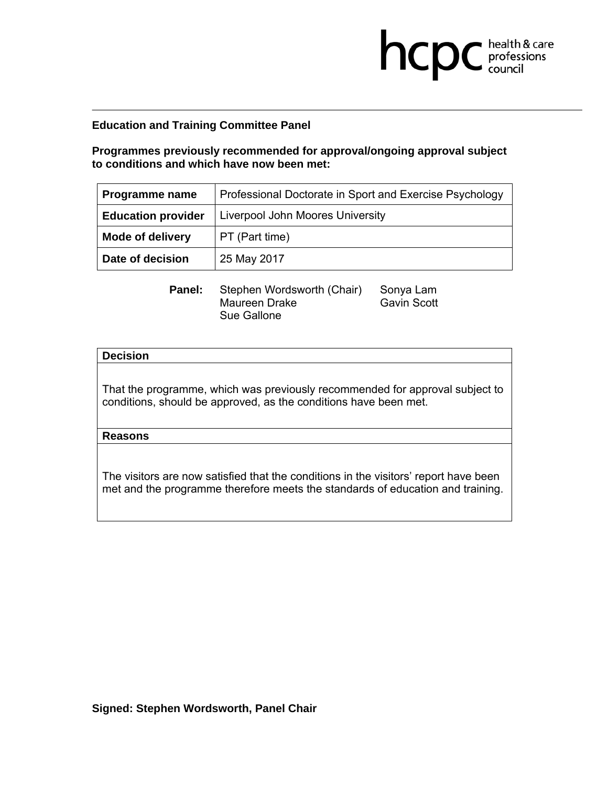**Programmes previously recommended for approval/ongoing approval subject to conditions and which have now been met:** 

**health & care** 

| Programme name            | Professional Doctorate in Sport and Exercise Psychology |
|---------------------------|---------------------------------------------------------|
| <b>Education provider</b> | Liverpool John Moores University                        |
| <b>Mode of delivery</b>   | PT (Part time)                                          |
| Date of decision          | 25 May 2017                                             |

**Panel:** Stephen Wordsworth (Chair) Sonya Lam<br>Maureen Drake Gavin Scott Maureen Drake Sue Gallone

### **Decision**

That the programme, which was previously recommended for approval subject to conditions, should be approved, as the conditions have been met.

### **Reasons**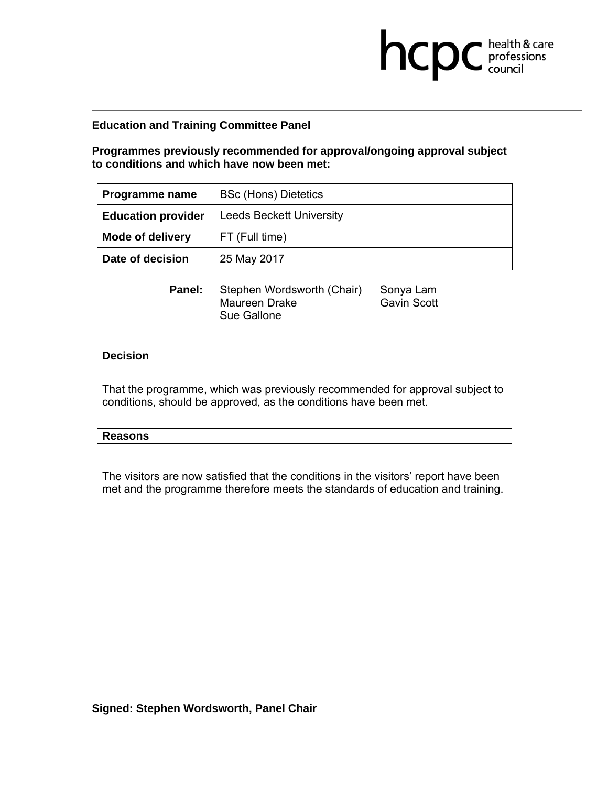**Programmes previously recommended for approval/ongoing approval subject to conditions and which have now been met:** 

**health & care** 

| Programme name            | <b>BSc (Hons) Dietetics</b>     |
|---------------------------|---------------------------------|
| <b>Education provider</b> | <b>Leeds Beckett University</b> |
| <b>Mode of delivery</b>   | FT (Full time)                  |
| Date of decision          | 25 May 2017                     |

**Panel:** Stephen Wordsworth (Chair) Sonya Lam<br>Maureen Drake Gavin Scott Maureen Drake Sue Gallone

### **Decision**

That the programme, which was previously recommended for approval subject to conditions, should be approved, as the conditions have been met.

## **Reasons**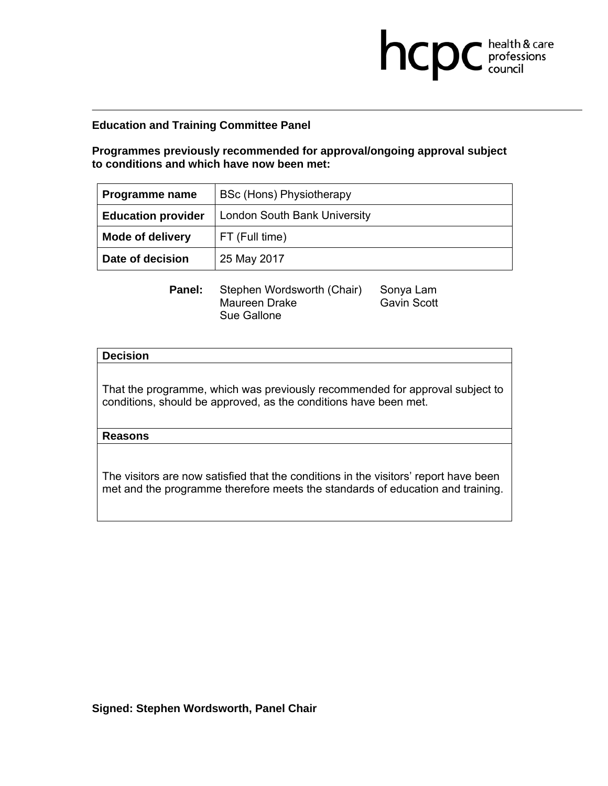**Programmes previously recommended for approval/ongoing approval subject to conditions and which have now been met:** 

**health & care** 

| Programme name            | <b>BSc (Hons) Physiotherapy</b> |
|---------------------------|---------------------------------|
| <b>Education provider</b> | London South Bank University    |
| <b>Mode of delivery</b>   | FT (Full time)                  |
| Date of decision          | 25 May 2017                     |

**Panel:** Stephen Wordsworth (Chair) Sonya Lam<br>Maureen Drake Gavin Scott Maureen Drake Sue Gallone

### **Decision**

That the programme, which was previously recommended for approval subject to conditions, should be approved, as the conditions have been met.

## **Reasons**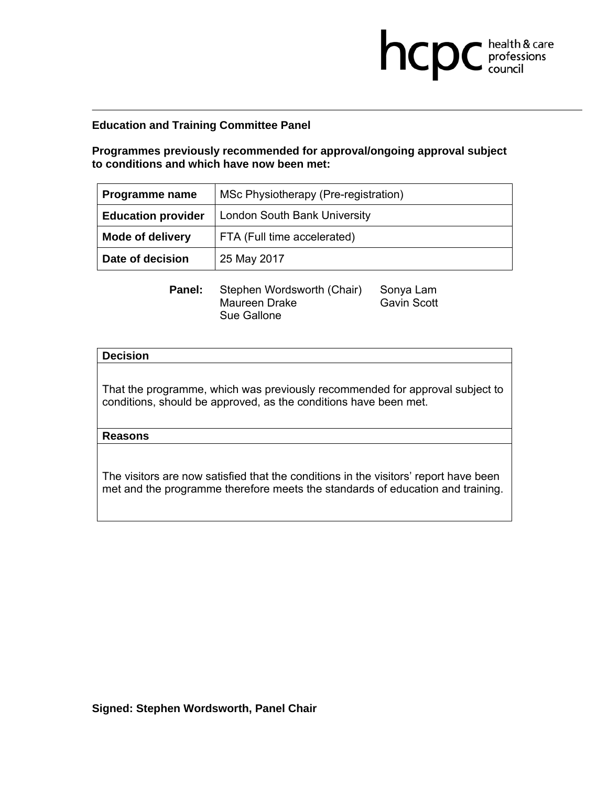**Programmes previously recommended for approval/ongoing approval subject to conditions and which have now been met:** 

**health & care** 

| Programme name            | MSc Physiotherapy (Pre-registration) |
|---------------------------|--------------------------------------|
| <b>Education provider</b> | <b>London South Bank University</b>  |
| <b>Mode of delivery</b>   | FTA (Full time accelerated)          |
| Date of decision          | 25 May 2017                          |

**Panel:** Stephen Wordsworth (Chair) Sonya Lam<br>Maureen Drake Gavin Scott Maureen Drake Sue Gallone

### **Decision**

That the programme, which was previously recommended for approval subject to conditions, should be approved, as the conditions have been met.

## **Reasons**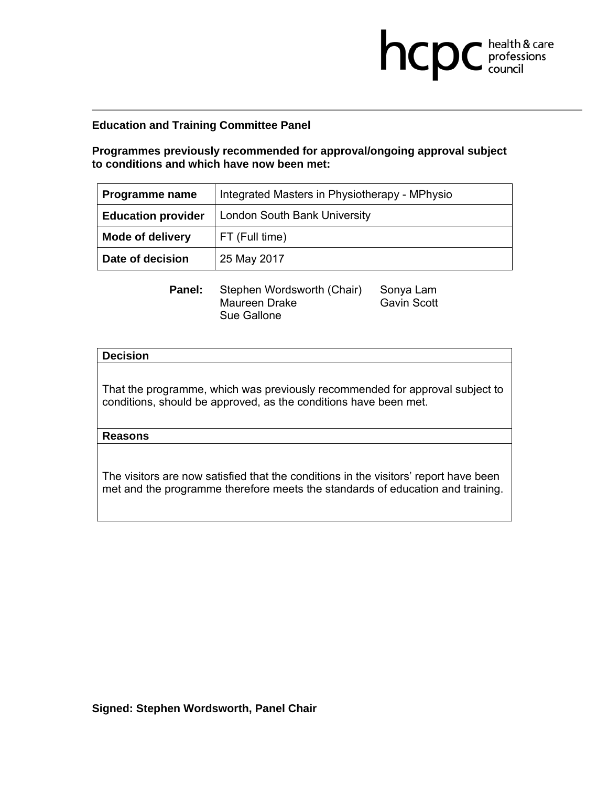**Programmes previously recommended for approval/ongoing approval subject to conditions and which have now been met:** 

**health & care** 

| Programme name            | Integrated Masters in Physiotherapy - MPhysio |
|---------------------------|-----------------------------------------------|
| <b>Education provider</b> | London South Bank University                  |
| <b>Mode of delivery</b>   | FT (Full time)                                |
| Date of decision          | 25 May 2017                                   |

**Panel:** Stephen Wordsworth (Chair) Sonya Lam<br>Maureen Drake Gavin Scott Maureen Drake Sue Gallone

### **Decision**

That the programme, which was previously recommended for approval subject to conditions, should be approved, as the conditions have been met.

### **Reasons**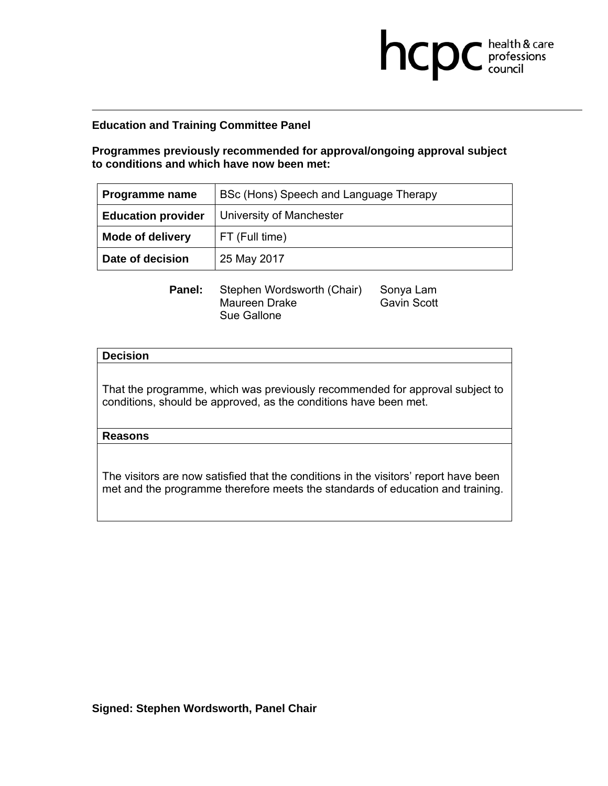**Programmes previously recommended for approval/ongoing approval subject to conditions and which have now been met:** 

**health & care** 

| Programme name            | BSc (Hons) Speech and Language Therapy |
|---------------------------|----------------------------------------|
| <b>Education provider</b> | University of Manchester               |
| <b>Mode of delivery</b>   | FT (Full time)                         |
| Date of decision          | 25 May 2017                            |

**Panel:** Stephen Wordsworth (Chair) Sonya Lam<br>Maureen Drake Gavin Scott Maureen Drake Sue Gallone

### **Decision**

That the programme, which was previously recommended for approval subject to conditions, should be approved, as the conditions have been met.

### **Reasons**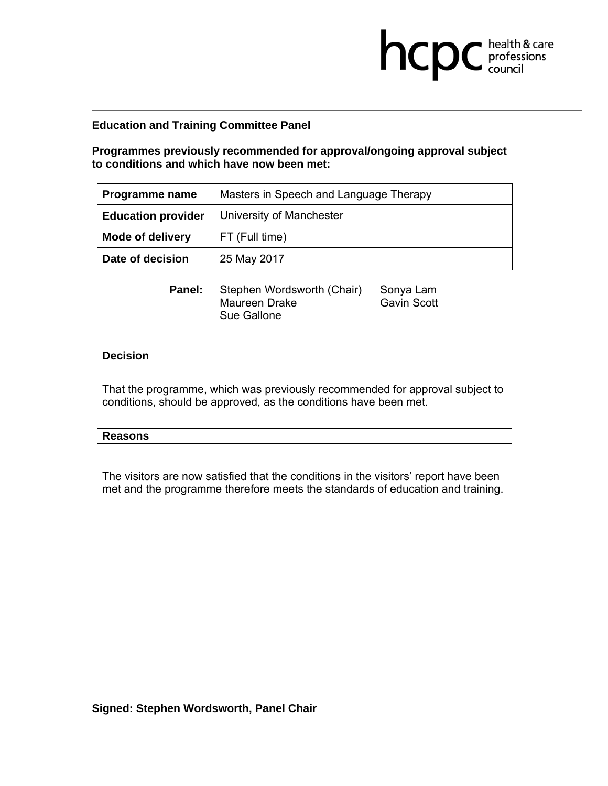**Programmes previously recommended for approval/ongoing approval subject to conditions and which have now been met:** 

**health & care** 

| Programme name            | Masters in Speech and Language Therapy |
|---------------------------|----------------------------------------|
| <b>Education provider</b> | University of Manchester               |
| <b>Mode of delivery</b>   | FT (Full time)                         |
| Date of decision          | 25 May 2017                            |

**Panel:** Stephen Wordsworth (Chair) Sonya Lam<br>Maureen Drake Gavin Scott Maureen Drake Sue Gallone

### **Decision**

That the programme, which was previously recommended for approval subject to conditions, should be approved, as the conditions have been met.

## **Reasons**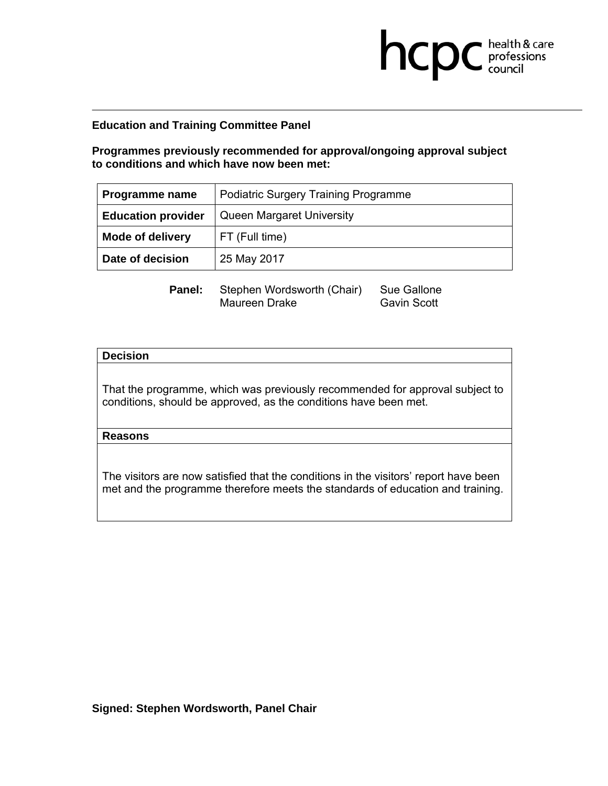**Programmes previously recommended for approval/ongoing approval subject to conditions and which have now been met:** 

**health & care** 

| Programme name            | <b>Podiatric Surgery Training Programme</b> |
|---------------------------|---------------------------------------------|
| <b>Education provider</b> | Queen Margaret University                   |
| <b>Mode of delivery</b>   | FT (Full time)                              |
| Date of decision          | 25 May 2017                                 |

**Panel:** Stephen Wordsworth (Chair) Sue Gallone<br>Maureen Drake Gavin Scott Maureen Drake

### **Decision**

That the programme, which was previously recommended for approval subject to conditions, should be approved, as the conditions have been met.

### **Reasons**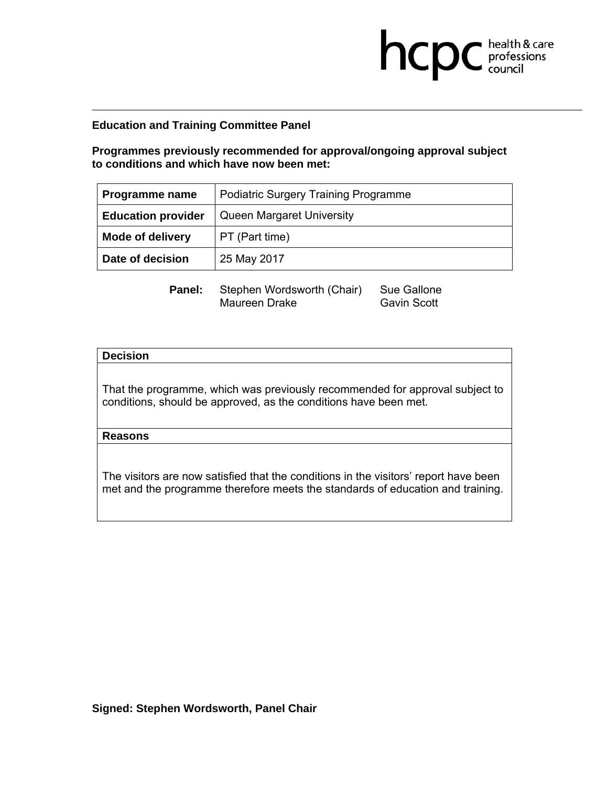**Programmes previously recommended for approval/ongoing approval subject to conditions and which have now been met:** 

**health & care** 

| Programme name            | <b>Podiatric Surgery Training Programme</b> |
|---------------------------|---------------------------------------------|
| <b>Education provider</b> | Queen Margaret University                   |
| <b>Mode of delivery</b>   | PT (Part time)                              |
| Date of decision          | 25 May 2017                                 |

**Panel:** Stephen Wordsworth (Chair) Sue Gallone<br>Maureen Drake Gavin Scott Maureen Drake

### **Decision**

That the programme, which was previously recommended for approval subject to conditions, should be approved, as the conditions have been met.

### **Reasons**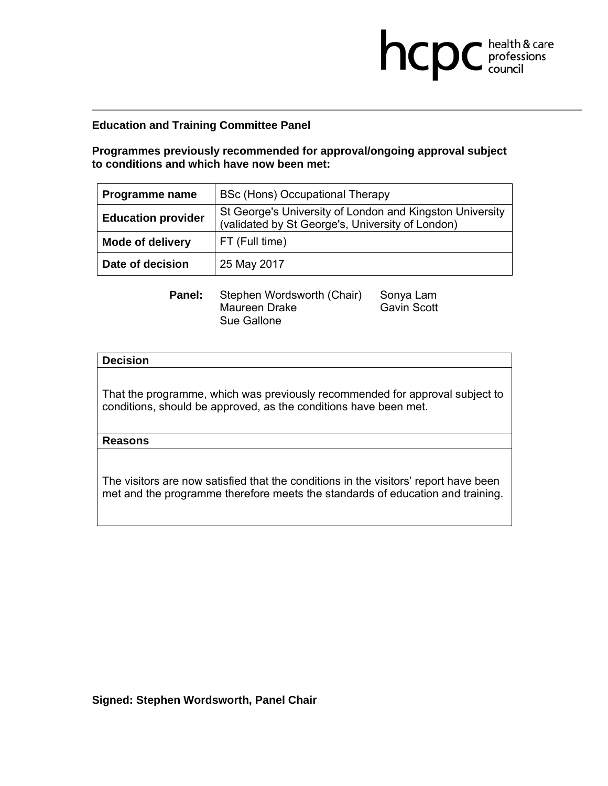**Programmes previously recommended for approval/ongoing approval subject to conditions and which have now been met:** 

**health & care** 

| Programme name            | BSc (Hons) Occupational Therapy                                                                              |
|---------------------------|--------------------------------------------------------------------------------------------------------------|
| <b>Education provider</b> | St George's University of London and Kingston University<br>(validated by St George's, University of London) |
| <b>Mode of delivery</b>   | FT (Full time)                                                                                               |
| Date of decision          | 25 May 2017                                                                                                  |

| <b>Panel:</b> | Stephen Wordsworth (Chair) | Sonya Lam          |
|---------------|----------------------------|--------------------|
|               | Maureen Drake              | <b>Gavin Scott</b> |
|               | Sue Gallone                |                    |

## **Decision**

That the programme, which was previously recommended for approval subject to conditions, should be approved, as the conditions have been met.

## **Reasons**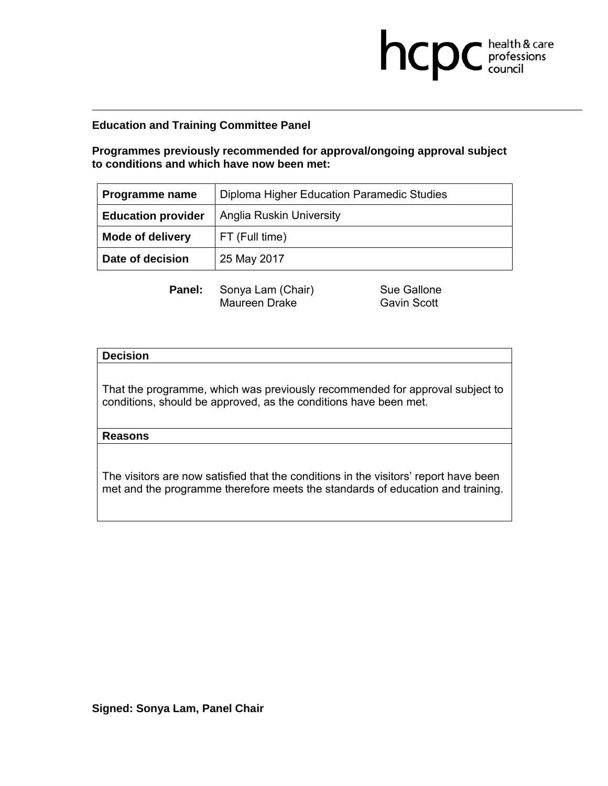**Programmes previously recommended for approval/ongoing approval subject to conditions and which have now been met:** 

| Programme name            | Diploma Higher Education Paramedic Studies |
|---------------------------|--------------------------------------------|
| <b>Education provider</b> | <b>Anglia Ruskin University</b>            |
| <b>Mode of delivery</b>   | FT (Full time)                             |
| Date of decision          | 25 May 2017                                |

**Panel:** Sonya Lam (Chair) Sue Gallone<br>Maureen Drake **Supersets** Gavin Scott Maureen Drake

**health & care** 

### **Decision**

That the programme, which was previously recommended for approval subject to conditions, should be approved, as the conditions have been met.

### **Reasons**